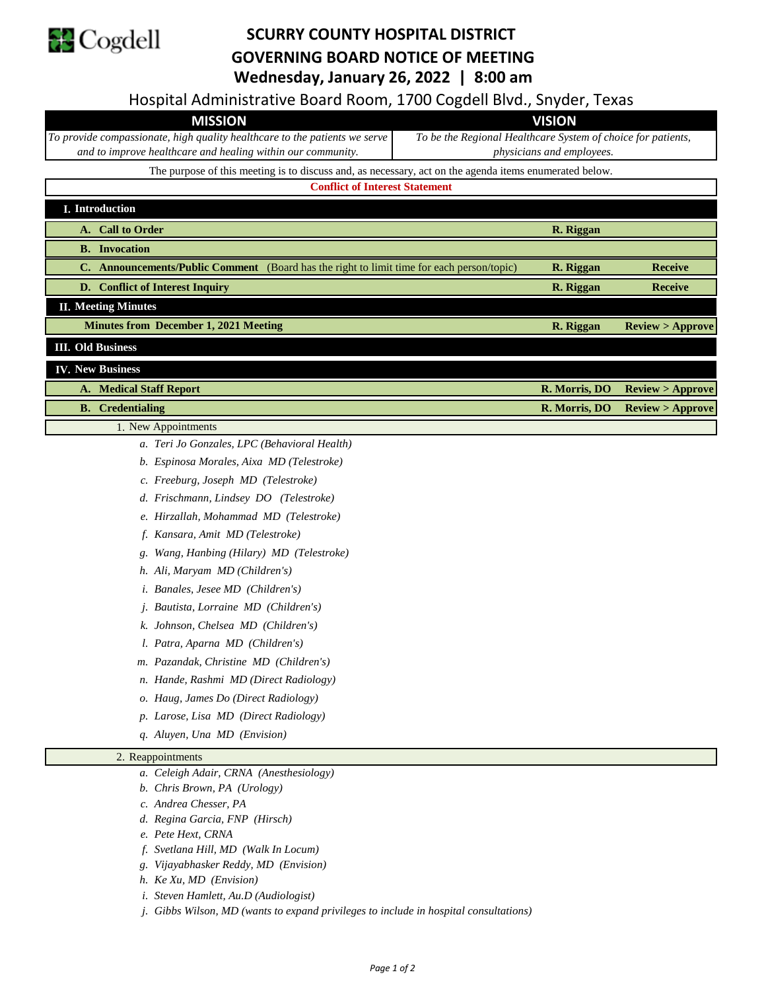

## **SCURRY COUNTY HOSPITAL DISTRICT GOVERNING BOARD NOTICE OF MEETING Wednesday, January 26, 2022 | 8:00 am**

Hospital Administrative Board Room, 1700 Cogdell Blvd., Snyder, Texas

| $1100$ product the contract of the second through $2700$ contracts between $1000$                      |                                                              |  |  |
|--------------------------------------------------------------------------------------------------------|--------------------------------------------------------------|--|--|
| <b>MISSION</b>                                                                                         | <b>VISION</b>                                                |  |  |
| To provide compassionate, high quality healthcare to the patients we serve                             | To be the Regional Healthcare System of choice for patients, |  |  |
| and to improve healthcare and healing within our community.                                            | <i>physicians and employees.</i>                             |  |  |
| The purpose of this meeting is to discuss and, as necessary, act on the agenda items enumerated below. |                                                              |  |  |
| <b>Conflict of Interest Statement</b>                                                                  |                                                              |  |  |
| <b>I.</b> Introduction                                                                                 |                                                              |  |  |
| A. Call to Order<br>R. Riggan                                                                          |                                                              |  |  |
| <b>B.</b> Invocation                                                                                   |                                                              |  |  |
| <b>C.</b> Announcements/Public Comment (Board has the right to limit time for each person/topic)       | R. Riggan<br><b>Receive</b>                                  |  |  |
| D. Conflict of Interest Inquiry                                                                        | R. Riggan<br><b>Receive</b>                                  |  |  |

**II. Meeting Minutes**

**R. Riggan Review > Approve Minutes from December 1, 2021 Meeting**

**III. Old Business**

## **IV. New Business**

**A. Medical Staff Report R. Morris, DO Review > Approve**

## **B. Credentialing R. Morris, DO Review > Approve** 1. New Appointments

- *a. Teri Jo Gonzales, LPC (Behavioral Health)*
- *b. Espinosa Morales, Aixa MD (Telestroke)*
- *c. Freeburg, Joseph MD (Telestroke)*
- *d. Frischmann, Lindsey DO (Telestroke)*
- *e. Hirzallah, Mohammad MD (Telestroke)*
- *f. Kansara, Amit MD (Telestroke)*
- *g. Wang, Hanbing (Hilary) MD (Telestroke)*
- *h. Ali, Maryam MD (Children's)*
- *i. Banales, Jesee MD (Children's)*
- *j. Bautista, Lorraine MD (Children's)*
- *k. Johnson, Chelsea MD (Children's)*
- *l. Patra, Aparna MD (Children's)*
- *m. Pazandak, Christine MD (Children's)*
- *n. Hande, Rashmi MD (Direct Radiology)*
- *o. Haug, James Do (Direct Radiology)*
- *p. Larose, Lisa MD (Direct Radiology)*
- *q. Aluyen, Una MD (Envision)*

## 2. Reappointments

- *a. Celeigh Adair, CRNA (Anesthesiology)*
- *b. Chris Brown, PA (Urology)*
- *c. Andrea Chesser, PA*
- *d. Regina Garcia, FNP (Hirsch)*
- *e. Pete Hext, CRNA*
- *f. Svetlana Hill, MD (Walk In Locum)*
- *g. Vijayabhasker Reddy, MD (Envision)*
- *h. Ke Xu, MD (Envision)*
- *i. Steven Hamlett, Au.D (Audiologist)*
- *j. Gibbs Wilson, MD (wants to expand privileges to include in hospital consultations)*